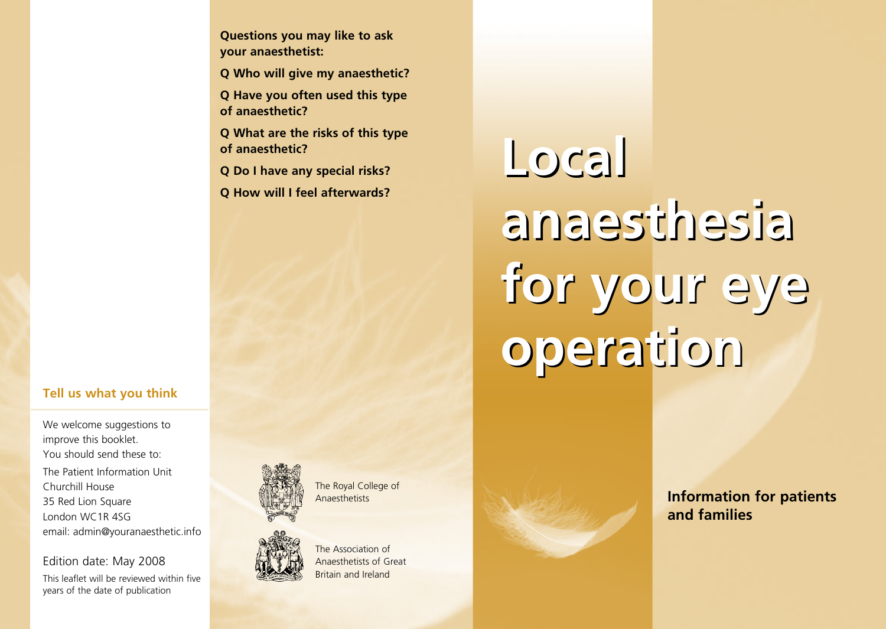**Questions you may like to ask your anaesthetist:**

**Q Who will give my anaesthetic?**

**Q Have you often used this type of anaesthetic?**

**Q What are the risks of this type of anaesthetic?**

**Q Do I have any special risks?**

**Q How will I feel afterwards?**

#### **Tell us what you think**

We welcome suggestions to improve this booklet. You should send these to: The Patient Information Unit Churchill House 35 Red Lion Square London WC1R 4SG email: admin@youranaesthetic.info

Edition date: May 2008

This leaflet will be reviewed within five years of the date of publication



The Royal College of **Anaesthetists** 



The Association of Anaesthetists of Great Britain and Ireland

# **Local Local anaesthesia anaesthesia for your eye for your eye operation operation**

**Information for patients and families**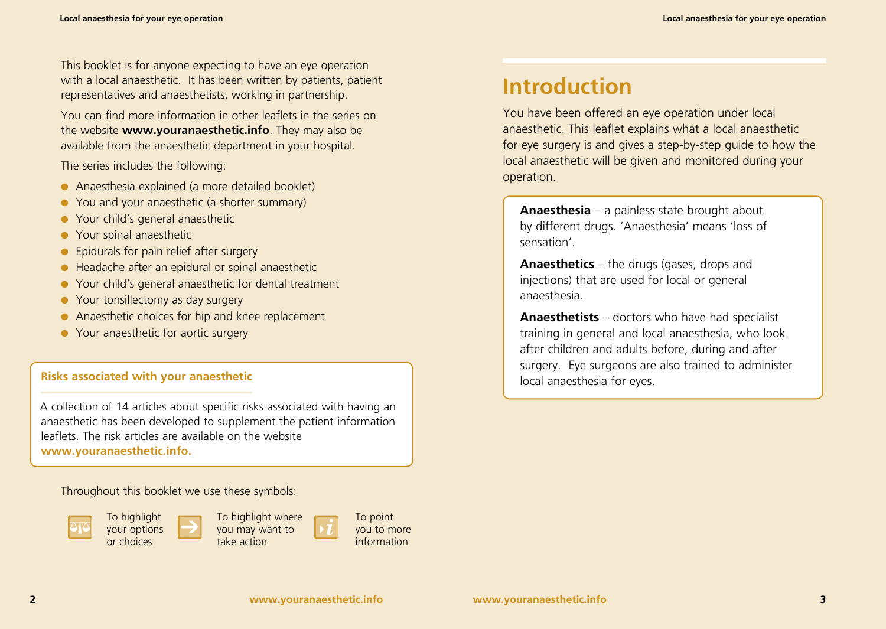This booklet is for anyone expecting to have an eye operation with a local anaesthetic. It has been written by patients, patient representatives and anaesthetists, working in partnership.

You can find more information in other leaflets in the series on the website **www.youranaesthetic.info**. They may also be available from the anaesthetic department in your hospital.

The series includes the following:

- Anaesthesia explained (a more detailed booklet)
- You and your anaesthetic (a shorter summary)
- Your child's general anaesthetic
- Your spinal anaesthetic
- Epidurals for pain relief after surgery
- Headache after an epidural or spinal anaesthetic
- Your child's general anaesthetic for dental treatment
- Your tonsillectomy as day surgery
- Anaesthetic choices for hip and knee replacement
- Your anaesthetic for aortic surgery

#### **Risks associated with your anaesthetic**

A collection of 14 articles about specific risks associated with having an anaesthetic has been developed to supplement the patient information leaflets. The risk articles are available on the website **www.youranaesthetic.info.**

Throughout this booklet we use these symbols:



To highlight your options or choices



To point you to more information

## **Introduction**

You have been offered an eye operation under local anaesthetic. This leaflet explains what a local anaesthetic for eye surgery is and gives a step-by-step guide to how the local anaesthetic will be given and monitored during your operation.

**Anaesthesia** – a painless state brought about by different drugs. 'Anaesthesia' means 'loss of sensation'.

**Anaesthetics** – the drugs (gases, drops and injections) that are used for local or general anaesthesia.

**Anaesthetists** – doctors who have had specialist training in general and local anaesthesia, who look after children and adults before, during and after surgery. Eye surgeons are also trained to administer local anaesthesia for eyes.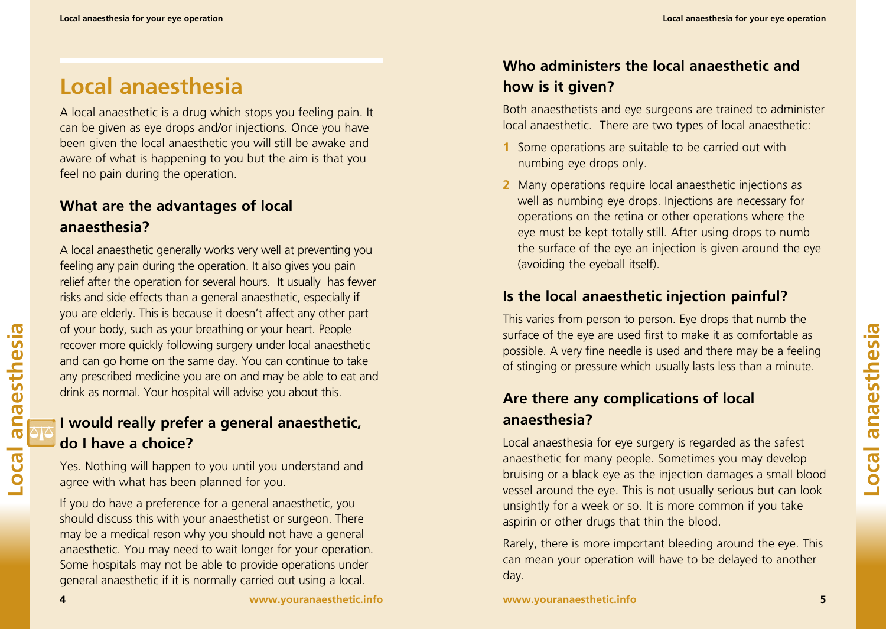# **Local anaesthesia**

A local anaesthetic is a drug which stops you feeling pain. It can be given as eye drops and/or injections. Once you have been given the local anaesthetic you will still be awake and aware of what is happening to you but the aim is that you feel no pain during the operation.

#### **What are the advantages of local anaesthesia?**

A local anaesthetic generally works very well at preventing you feeling any pain during the operation. It also gives you pain relief after the operation for several hours. It usually has fewer risks and side effects than a general anaesthetic, especially if you are elderly. This is because it doesn't affect any other part of your body, such as your breathing or your heart. People recover more quickly following surgery under local anaesthetic and can go home on the same day. You can continue to take any prescribed medicine you are on and may be able to eat and drink as normal. Your hospital will advise you about this.

#### **I would really prefer a general anaesthetic, do I have a choice?**

Yes. Nothing will happen to you until you understand and agree with what has been planned for you.

If you do have a preference for a general anaesthetic, you should discuss this with your anaesthetist or surgeon. There may be a medical reson why you should not have a general anaesthetic. You may need to wait longer for your operation. Some hospitals may not be able to provide operations under general anaesthetic if it is normally carried out using a local.

#### **Who administers the local anaesthetic and how is it given?**

Both anaesthetists and eye surgeons are trained to administer local anaesthetic. There are two types of local anaesthetic:

- **1** Some operations are suitable to be carried out with numbing eye drops only.
- **2** Many operations require local anaesthetic injections as well as numbing eye drops. Injections are necessary for operations on the retina or other operations where the eye must be kept totally still. After using drops to numb the surface of the eye an injection is given around the eye (avoiding the eyeball itself).

#### **Is the local anaesthetic injection painful?**

This varies from person to person. Eye drops that numb the surface of the eye are used first to make it as comfortable as possible. A very fine needle is used and there may be a feeling of stinging or pressure which usually lasts less than a minute.

#### **Are there any complications of local anaesthesia?**

Local anaesthesia for eye surgery is regarded as the safest anaesthetic for many people. Sometimes you may develop bruising or a black eye as the injection damages a small blood vessel around the eye. This is not usually serious but can look unsightly for a week or so. It is more common if you take aspirin or other drugs that thin the blood.

Rarely, there is more important bleeding around the eye. This can mean your operation will have to be delayed to another day.

**Local anaesthesia**

Local anaesthesia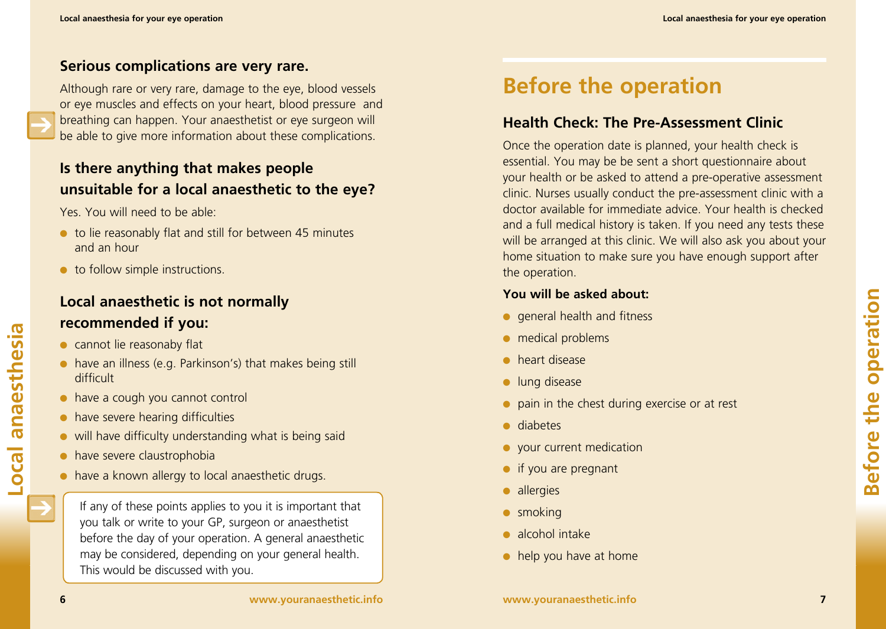#### **Serious complications are very rare.**

Although rare or very rare, damage to the eye, blood vessels or eye muscles and effects on your heart, blood pressure and breathing can happen. Your anaesthetist or eye surgeon will be able to give more information about these complications.

#### **Is there anything that makes people unsuitable for a local anaesthetic to the eye?**

Yes. You will need to be able:

- to lie reasonably flat and still for between 45 minutes and an hour
- to follow simple instructions.

#### **Local anaesthetic is not normally recommended if you:**

- cannot lie reasonaby flat
- have an illness (e.g. Parkinson's) that makes being still difficult
- have a cough you cannot control
- have severe hearing difficulties
- will have difficulty understanding what is being said
- have severe claustrophobia
- have a known allergy to local anaesthetic drugs.

If any of these points applies to you it is important that you talk or write to your GP, surgeon or anaesthetist before the day of your operation. A general anaesthetic may be considered, depending on your general health. This would be discussed with you.

# **Before the operation**

#### **Health Check: The Pre-Assessment Clinic**

Once the operation date is planned, your health check is essential. You may be be sent a short questionnaire about your health or be asked to attend a pre-operative assessment clinic. Nurses usually conduct the pre-assessment clinic with a doctor available for immediate advice. Your health is checked and a full medical history is taken. If you need any tests these will be arranged at this clinic. We will also ask you about your home situation to make sure you have enough support after the operation.

#### **You will be asked about:**

- general health and fitness
- medical problems
- heart disease
- lung disease
- pain in the chest during exercise or at rest
- diabetes
- your current medication
- if you are pregnant
- allergies
- smoking
- alcohol intake
- $\bullet$  help you have at home

**Local anaesthesia**

**OCal** 

anaesthesia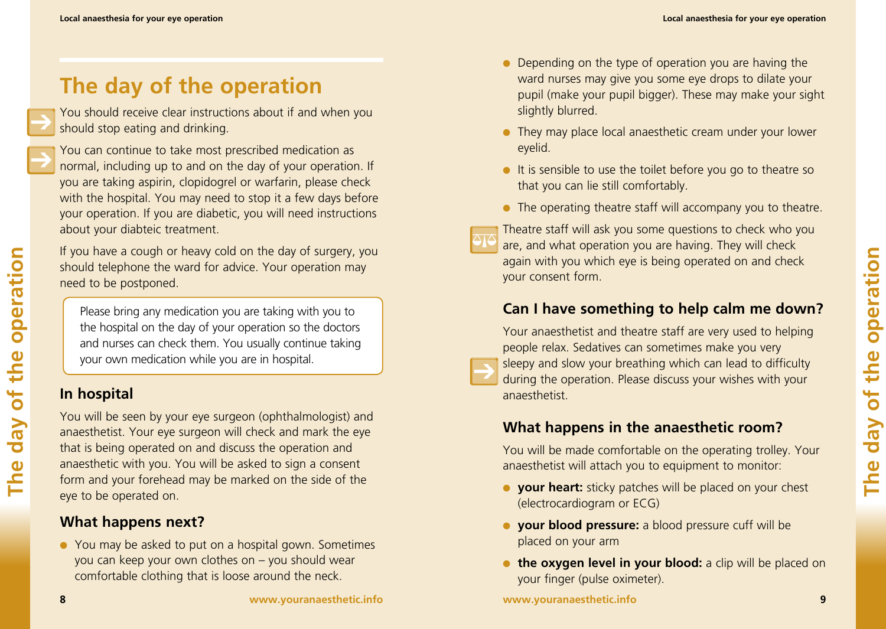# **The day of the operation**

You should receive clear instructions about if and when you should stop eating and drinking.



**The day of the operation**

day of

The

the operation

You can continue to take most prescribed medication as normal, including up to and on the day of your operation. If you are taking aspirin, clopidogrel or warfarin, please check with the hospital. You may need to stop it a few days before your operation. If you are diabetic, you will need instructions about your diabteic treatment.

If you have a cough or heavy cold on the day of surgery, you should telephone the ward for advice. Your operation may need to be postponed.

Please bring any medication you are taking with you to the hospital on the day of your operation so the doctors and nurses can check them. You usually continue taking your own medication while you are in hospital.

#### **In hospital**

You will be seen by your eye surgeon (ophthalmologist) and anaesthetist. Your eye surgeon will check and mark the eye that is being operated on and discuss the operation and anaesthetic with you. You will be asked to sign a consent form and your forehead may be marked on the side of the eye to be operated on.

#### **What happens next?**

● You may be asked to put on a hospital gown. Sometimes you can keep your own clothes on – you should wear comfortable clothing that is loose around the neck.

- Depending on the type of operation you are having the ward nurses may give you some eye drops to dilate your pupil (make your pupil bigger). These may make your sight slightly blurred.
- They may place local anaesthetic cream under your lower eyelid.
- It is sensible to use the toilet before you go to theatre so that you can lie still comfortably.
- The operating theatre staff will accompany you to theatre.

Theatre staff will ask you some questions to check who you are, and what operation you are having. They will check again with you which eye is being operated on and check your consent form.

#### **Can I have something to help calm me down?**

Your anaesthetist and theatre staff are very used to helping people relax. Sedatives can sometimes make you very sleepy and slow your breathing which can lead to difficulty during the operation. Please discuss your wishes with your anaesthetist.

#### **What happens in the anaesthetic room?**

You will be made comfortable on the operating trolley. Your anaesthetist will attach you to equipment to monitor:

- **your heart:** sticky patches will be placed on your chest (electrocardiogram or ECG)
- **your blood pressure:** a blood pressure cuff will be placed on your arm
- **the oxygen level in your blood:** a clip will be placed on your finger (pulse oximeter).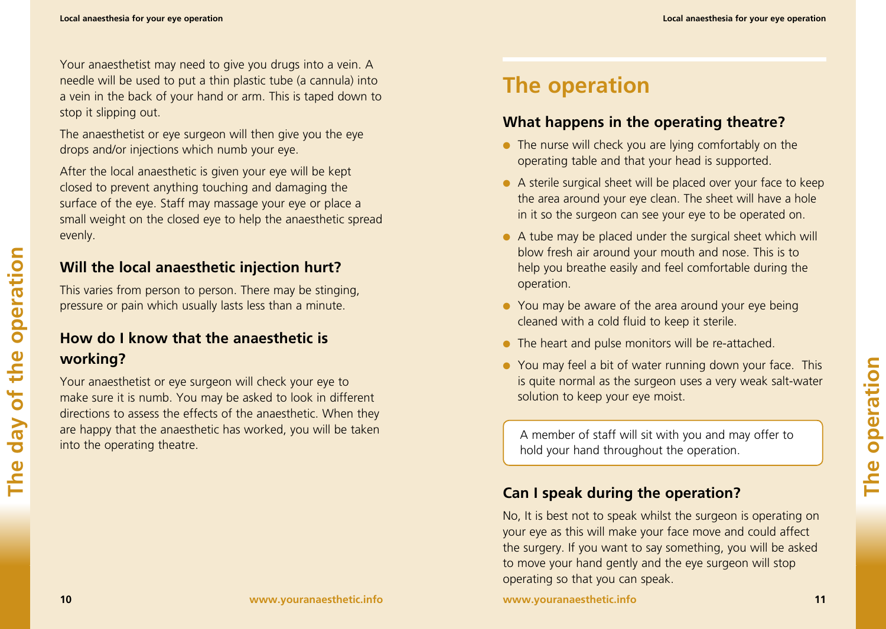Your anaesthetist may need to give you drugs into a vein. A needle will be used to put a thin plastic tube (a cannula) into a vein in the back of your hand or arm. This is taped down to stop it slipping out.

The anaesthetist or eye surgeon will then give you the eye drops and/or injections which numb your eye.

After the local anaesthetic is given your eye will be kept closed to prevent anything touching and damaging the surface of the eye. Staff may massage your eye or place a small weight on the closed eye to help the anaesthetic spread evenly.

#### **Will the local anaesthetic injection hurt?**

This varies from person to person. There may be stinging, pressure or pain which usually lasts less than a minute.

### **How do I know that the anaesthetic is working?**

Your anaesthetist or eye surgeon will check your eye to make sure it is numb. You may be asked to look in different directions to assess the effects of the anaesthetic. When they are happy that the anaesthetic has worked, you will be taken into the operating theatre.

# **The operation**

#### **What happens in the operating theatre?**

- The nurse will check you are lying comfortably on the operating table and that your head is supported.
- A sterile surgical sheet will be placed over your face to keep the area around your eye clean. The sheet will have a hole in it so the surgeon can see your eye to be operated on.
- $\bullet$  A tube may be placed under the surgical sheet which will blow fresh air around your mouth and nose. This is to help you breathe easily and feel comfortable during the operation.
- You may be aware of the area around your eye being cleaned with a cold fluid to keep it sterile.
- The heart and pulse monitors will be re-attached.
- You may feel a bit of water running down your face. This is quite normal as the surgeon uses a very weak salt-water solution to keep your eye moist.

A member of staff will sit with you and may offer to hold your hand throughout the operation.

#### **Can I speak during the operation?**

No, It is best not to speak whilst the surgeon is operating on your eye as this will make your face move and could affect the surgery. If you want to say something, you will be asked to move your hand gently and the eye surgeon will stop operating so that you can speak.

**www.youranaesthetic.info** 11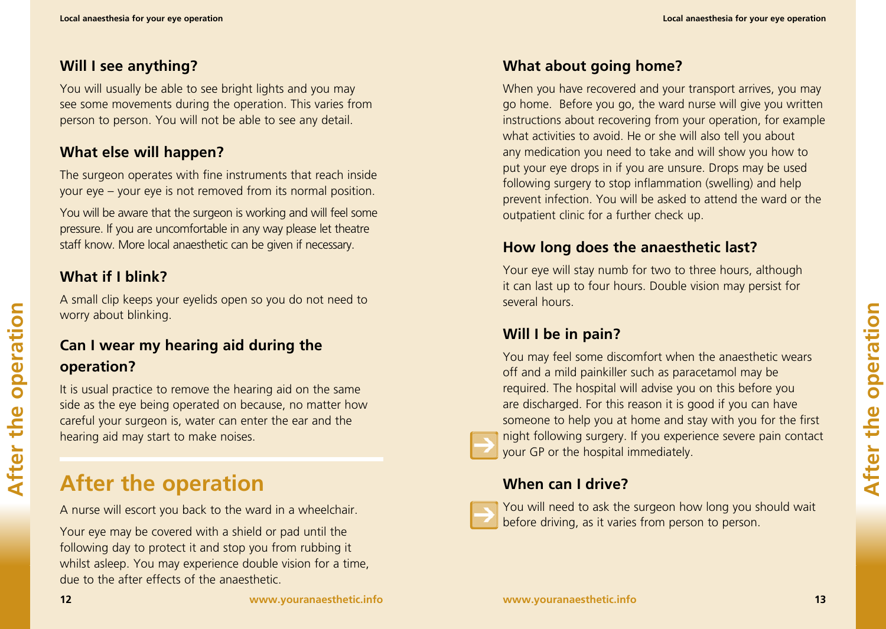#### **Will I see anything?**

You will usually be able to see bright lights and you may see some movements during the operation. This varies from person to person. You will not be able to see any detail.

#### **What else will happen?**

The surgeon operates with fine instruments that reach inside your eye – your eye is not removed from its normal position.

You will be aware that the surgeon is working and will feel some pressure. If you are uncomfortable in any way please let theatre staff know. More local anaesthetic can be given if necessary.

#### **What if I blink?**

A small clip keeps your eyelids open so you do not need to worry about blinking.

#### **Can I wear my hearing aid during the operation?**

It is usual practice to remove the hearing aid on the same side as the eye being operated on because, no matter how careful your surgeon is, water can enter the ear and the hearing aid may start to make noises.

# **After the operation**

A nurse will escort you back to the ward in a wheelchair.

Your eye may be covered with a shield or pad until the following day to protect it and stop you from rubbing it whilst asleep. You may experience double vision for a time, due to the after effects of the anaesthetic.

#### **What about going home?**

When you have recovered and your transport arrives, you may go home. Before you go, the ward nurse will give you written instructions about recovering from your operation, for example what activities to avoid. He or she will also tell you about any medication you need to take and will show you how to put your eye drops in if you are unsure. Drops may be used following surgery to stop inflammation (swelling) and help prevent infection. You will be asked to attend the ward or the outpatient clinic for a further check up.

#### **How long does the anaesthetic last?**

Your eye will stay numb for two to three hours, although it can last up to four hours. Double vision may persist for several hours.

#### **Will I be in pain?**

You may feel some discomfort when the anaesthetic wears off and a mild painkiller such as paracetamol may be required. The hospital will advise you on this before you are discharged. For this reason it is good if you can have someone to help you at home and stay with you for the first night following surgery. If you experience severe pain contact your GP or the hospital immediately.

#### **When can I drive?**



You will need to ask the surgeon how long you should wait before driving, as it varies from person to person.

**After the operation**

After the

operation